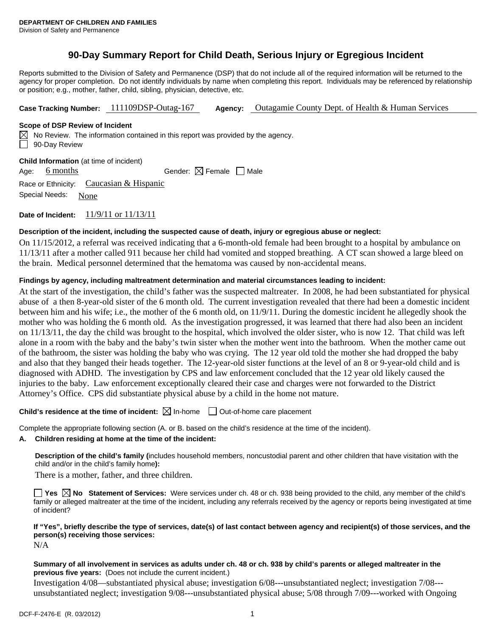# **90-Day Summary Report for Child Death, Serious Injury or Egregious Incident**

Reports submitted to the Division of Safety and Permanence (DSP) that do not include all of the required information will be returned to the agency for proper completion. Do not identify individuals by name when completing this report. Individuals may be referenced by relationship or position; e.g., mother, father, child, sibling, physician, detective, etc.

**Case Tracking Number:** 111109DSP-Outag-167 **Agency:** Outagamie County Dept. of Health & Human Services

# **Scope of DSP Review of Incident**

 $\boxtimes$  No Review. The information contained in this report was provided by the agency. 90-Day Review

| <b>Child Information</b> (at time of incident) |                     |                                           |  |                                        |  |  |  |  |
|------------------------------------------------|---------------------|-------------------------------------------|--|----------------------------------------|--|--|--|--|
|                                                | Age: 6 months       |                                           |  | Gender: $\boxtimes$ Female $\Box$ Male |  |  |  |  |
|                                                |                     | Race or Ethnicity: Caucasian $& Hispanic$ |  |                                        |  |  |  |  |
|                                                | Special Needs: None |                                           |  |                                        |  |  |  |  |

**Date of Incident:** 11/9/11 or 11/13/11

# **Description of the incident, including the suspected cause of death, injury or egregious abuse or neglect:**

On 11/15/2012, a referral was received indicating that a 6-month-old female had been brought to a hospital by ambulance on 11/13/11 after a mother called 911 because her child had vomited and stopped breathing. A CT scan showed a large bleed on the brain. Medical personnel determined that the hematoma was caused by non-accidental means.

# **Findings by agency, including maltreatment determination and material circumstances leading to incident:**

At the start of the investigation, the child's father was the suspected maltreater. In 2008, he had been substantiated for physical abuse of a then 8-year-old sister of the 6 month old. The current investigation revealed that there had been a domestic incident between him and his wife; i.e., the mother of the 6 month old, on 11/9/11. During the domestic incident he allegedly shook the mother who was holding the 6 month old. As the investigation progressed, it was learned that there had also been an incident on 11/13/11, the day the child was brought to the hospital, which involved the older sister, who is now 12. That child was left alone in a room with the baby and the baby's twin sister when the mother went into the bathroom. When the mother came out of the bathroom, the sister was holding the baby who was crying. The 12 year old told the mother she had dropped the baby and also that they banged their heads together. The 12-year-old sister functions at the level of an 8 or 9-year-old child and is diagnosed with ADHD. The investigation by CPS and law enforcement concluded that the 12 year old likely caused the injuries to the baby. Law enforcement exceptionally cleared their case and charges were not forwarded to the District Attorney's Office. CPS did substantiate physical abuse by a child in the home not mature.

# **Child's residence at the time of incident:** ⊠ In-home □ Out-of-home care placement

Complete the appropriate following section (A. or B. based on the child's residence at the time of the incident).

# **A. Children residing at home at the time of the incident:**

**Description of the child's family (**includes household members, noncustodial parent and other children that have visitation with the child and/or in the child's family home**):** 

There is a mother, father, and three children.

**Yes**  $\boxtimes$  **No** Statement of Services: Were services under ch. 48 or ch. 938 being provided to the child, any member of the child's family or alleged maltreater at the time of the incident, including any referrals received by the agency or reports being investigated at time of incident?

# **If "Yes", briefly describe the type of services, date(s) of last contact between agency and recipient(s) of those services, and the person(s) receiving those services:**

# N/A

#### **Summary of all involvement in services as adults under ch. 48 or ch. 938 by child's parents or alleged maltreater in the previous five years:** (Does not include the current incident.)

Investigation 4/08—substantiated physical abuse; investigation 6/08---unsubstantiated neglect; investigation 7/08-- unsubstantiated neglect; investigation 9/08---unsubstantiated physical abuse; 5/08 through 7/09---worked with Ongoing